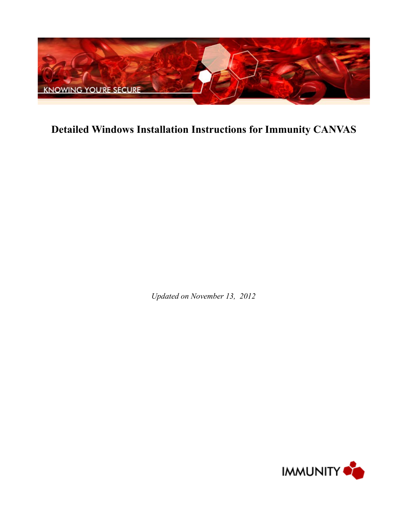

# **Detailed Windows Installation Instructions for Immunity CANVAS**

*Updated on November 13, 2012*

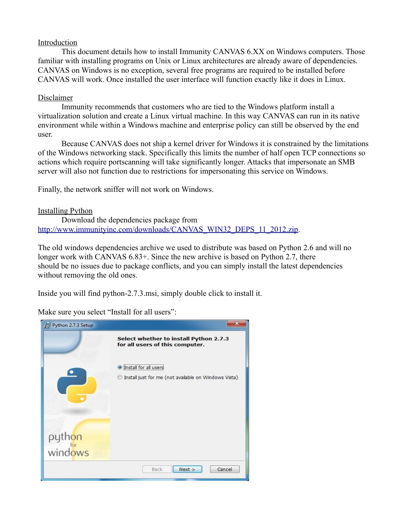### Introduction

This document details how to install Immunity CANVAS 6.XX on Windows computers. Those familiar with installing programs on Unix or Linux architectures are already aware of dependencies. CANVAS on Windows is no exception, several free programs are required to be installed before CANVAS will work. Once installed the user interface will function exactly like it does in Linux.

### Disclaimer

Immunity recommends that customers who are tied to the Windows platform install a virtualization solution and create a Linux virtual machine. In this way CANVAS can run in its native environment while within a Windows machine and enterprise policy can still be observed by the end user.

Because CANVAS does not ship a kernel driver for Windows it is constrained by the limitations of the Windows networking stack. Specifically this limits the number of half open TCP connections so actions which require portscanning will take significantly longer. Attacks that impersonate an SMB server will also not function due to restrictions for impersonating this service on Windows.

Finally, the network sniffer will not work on Windows.

### Installing Python

Download the dependencies package from [http://www.immunityinc.com/downloads/CANVAS\\_WIN32\\_DEPS\\_11\\_2012.zip.](http://www.immunityinc.com/downloads/CANVAS_WIN32_DEPS_11_2012.zip)

The old windows dependencies archive we used to distribute was based on Python 2.6 and will no longer work with CANVAS 6.83+. Since the new archive is based on Python 2.7, there should be no issues due to package conflicts, and you can simply install the latest dependencies without removing the old ones.

Inside you will find python-2.7.3.msi, simply double click to install it.

Make sure you select "Install for all users":

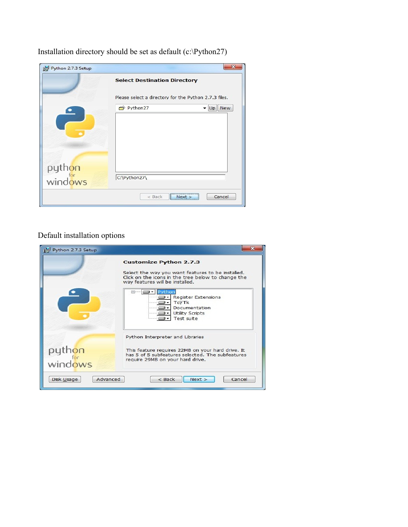|                   | <b>Select Destination Directory</b>                               |           |  |
|-------------------|-------------------------------------------------------------------|-----------|--|
|                   | Please select a directory for the Python 2.7.3 files.<br>Python27 | New<br>Up |  |
|                   |                                                                   |           |  |
| python<br>windows | C:\Python27\                                                      |           |  |

Installation directory should be set as default (c:\Python27)

### Default installation options

| Python 2.7.3 Setup     | 53                                                                                                                                         |
|------------------------|--------------------------------------------------------------------------------------------------------------------------------------------|
|                        | <b>Customize Python 2.7.3</b>                                                                                                              |
|                        | Select the way you want features to be installed.<br>Click on the icons in the tree below to change the<br>way features will be installed. |
|                        | rnor<br>Register Extensions<br>Tcl/Tk<br>Documentation<br><b>Utility Scripts</b><br>Test suite                                             |
|                        | Python Interpreter and Libraries                                                                                                           |
| python<br>windows      | This feature requires 22MB on your hard drive. It<br>has 5 of 5 subfeatures selected. The subfeatures<br>require 29MB on your hard drive.  |
| Advanced<br>Disk Usage | Next<br>$<$ Back<br>Cancel                                                                                                                 |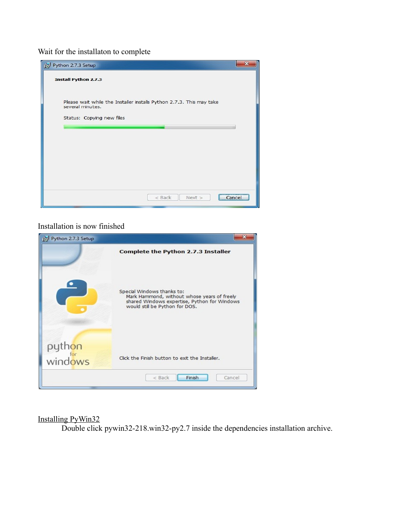### Wait for the installaton to complete



#### Installation is now finished



### Installing PyWin32

Double click pywin32-218.win32-py2.7 inside the dependencies installation archive.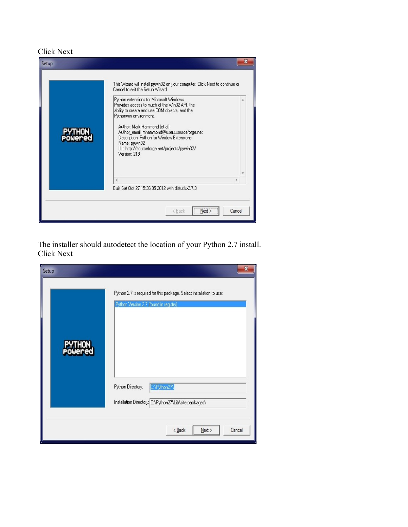### Click Next

| Setup |                                                                                                                                                                                                                                                                                                                    |  |
|-------|--------------------------------------------------------------------------------------------------------------------------------------------------------------------------------------------------------------------------------------------------------------------------------------------------------------------|--|
|       | This Wizard will install pywin32 on your computer. Click Next to continue or<br>Cancel to exit the Setup Wizard.                                                                                                                                                                                                   |  |
|       | Python extensions for Microsoft Windows<br>Provides access to much of the Win32 API, the<br>ability to create and use COM objects, and the<br>Pythonwin environment.<br>Author: Mark Hammond (et al)<br>Author_email: mhammond@users.sourceforge.net<br>Description: Python for Window Extensions<br>Name: pywin32 |  |
|       | Url: http://sourceforge.net/projects/pywin32/<br>Version: 218<br>Built Sat Oct 27 15:36:35 2012 with distutils-2.7.3                                                                                                                                                                                               |  |
|       | Cancel<br>< Back<br>Next >                                                                                                                                                                                                                                                                                         |  |

The installer should autodetect the location of your Python 2.7 install. Click Next

| Setup |                                                                                                                                                                                                               | X |
|-------|---------------------------------------------------------------------------------------------------------------------------------------------------------------------------------------------------------------|---|
|       | Python 2.7 is required for this package. Select installation to use:<br>Python Version 2.7 (found in registry)<br>C:\Python27\<br>Python Directory:<br>Installation Directory: C:\Python27\Lib\site-packages\ |   |
|       | $<$ Back<br>Next ><br>Cancel                                                                                                                                                                                  |   |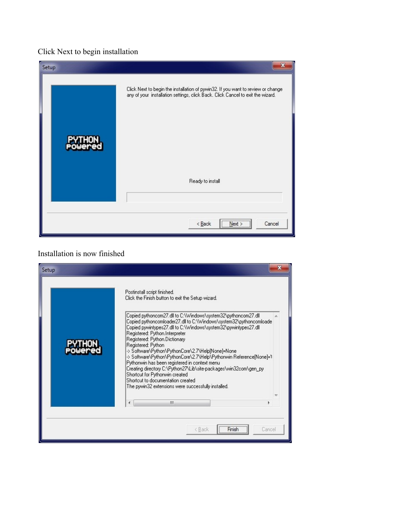## Click Next to begin installation

| Setup | $\mathbf x$                                                                                                                                                         |
|-------|---------------------------------------------------------------------------------------------------------------------------------------------------------------------|
|       | Click Next to begin the installation of pywin32. If you want to review or change<br>any of your installation settings, click Back. Click Cancel to exit the wizard. |
|       | Ready to install                                                                                                                                                    |
|       | Next ><br>$<$ Back<br>Cancel                                                                                                                                        |

### Installation is now finished

| Setup |                                                                                                                                                                                                                                                                                                                                                                                                                                                                                                                                                                                                                                                                              |                      |
|-------|------------------------------------------------------------------------------------------------------------------------------------------------------------------------------------------------------------------------------------------------------------------------------------------------------------------------------------------------------------------------------------------------------------------------------------------------------------------------------------------------------------------------------------------------------------------------------------------------------------------------------------------------------------------------------|----------------------|
|       | Postinstall script finished.<br>Click the Finish button to exit the Setup wizard.                                                                                                                                                                                                                                                                                                                                                                                                                                                                                                                                                                                            |                      |
|       | Copied pythoncom27.dll to C:\Windows\system32\pythoncom27.dll<br>Copied pythoncomloader27.dll to C:\Windows\system32\pythoncomloade<br>Copied pywintypes27.dll to C:\Windows\system32\pywintypes27.dll<br>Registered: Python.Interpreter<br>Registered: Python.Dictionary<br>Registered: Python<br>> Software\Python\PythonCore\2.7\Help[None]=None<br>> Software\Python\PythonCore\2.7\Help\Pythonwin Reference[None]='I<br>Pythonwin has been registered in context menu<br>Creating directory C:\Python27\Lib\site-packages\win32com\gen_py<br>Shortcut for Pythonwin created<br>Shortcut to documentation created<br>The pywin32 extensions were successfully installed. |                      |
|       | Ш                                                                                                                                                                                                                                                                                                                                                                                                                                                                                                                                                                                                                                                                            |                      |
|       | < Back                                                                                                                                                                                                                                                                                                                                                                                                                                                                                                                                                                                                                                                                       | <br>Cancel<br>Finish |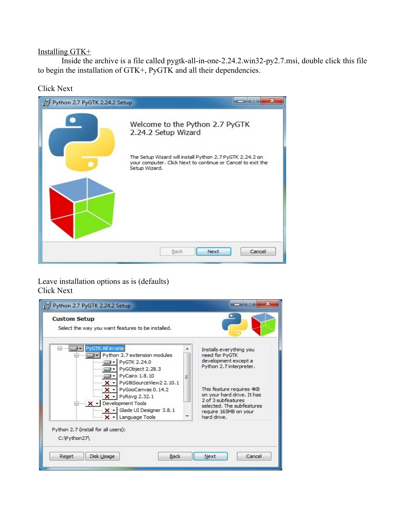#### Installing GTK+

Inside the archive is a file called pygtk-all-in-one-2.24.2.win32-py2.7.msi, double click this file to begin the installation of GTK+, PyGTK and all their dependencies.

### Click Next



### Leave installation options as is (defaults) Click Next

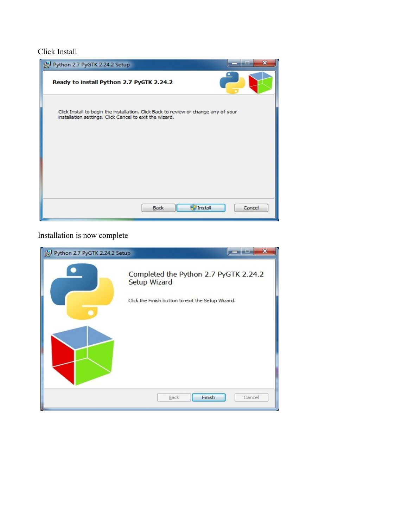### Click Install



### Installation is now complete

| Python 2.7 PyGTK 2.24.2 Setup |                                                                                                            | $\mathbf{x}$<br>-- |
|-------------------------------|------------------------------------------------------------------------------------------------------------|--------------------|
|                               | Completed the Python 2.7 PyGTK 2.24.2<br>Setup Wizard<br>Click the Finish button to exit the Setup Wizard. |                    |
|                               |                                                                                                            |                    |
|                               | Finish<br>Back                                                                                             | Cancel             |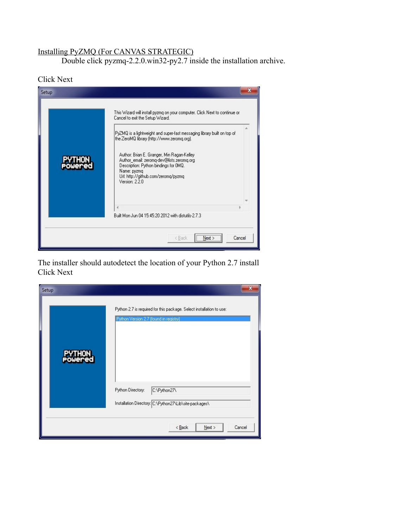### Installing PyZMQ (For CANVAS STRATEGIC)

Double click pyzmq-2.2.0.win32-py2.7 inside the installation archive.

Click Next

| Setup |                                                                                                                                                                                                          |  |
|-------|----------------------------------------------------------------------------------------------------------------------------------------------------------------------------------------------------------|--|
|       | This Wizard will install pyzmq on your computer. Click Next to continue or<br>Cancel to exit the Setup Wizard.                                                                                           |  |
|       | PyZMQ is a lightweight and super-fast messaging library built on top of<br>the ZeroMQ library (http://www.zeromq.org).                                                                                   |  |
|       | Author: Brian E. Granger, Min Ragan-Kelley<br>Author_email: zeromq-dev@lists.zeromq.org<br>Description: Python bindings for 0MQ.<br>Name: pyzmq<br>Url: http://github.com/zeromq/pyzmq<br>Version: 2.2.0 |  |
|       |                                                                                                                                                                                                          |  |
|       |                                                                                                                                                                                                          |  |
|       | Built Mon Jun 04 15:45:20 2012 with distutils-2.7.3<br>Cancel<br>< Back<br>Next                                                                                                                          |  |

The installer should autodetect the location of your Python 2.7 install Click Next

| Setup | $\mathbf x$<br>Python 2.7 is required for this package. Select installation to use:<br>Python Version 2.7 (found in registry) |
|-------|-------------------------------------------------------------------------------------------------------------------------------|
|       | Python Directory:<br>C:\Python27\<br>Installation Directory: C:\Python27\Lib\site-packages\<br>Cancel<br>$<$ Back<br>Next     |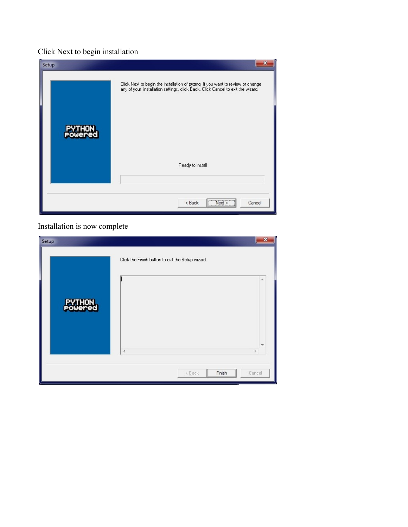## Click Next to begin installation

| Setup | $\mathbf x$                                                                                                                                                       |
|-------|-------------------------------------------------------------------------------------------------------------------------------------------------------------------|
|       | Click Next to begin the installation of pyzmq. If you want to review or change<br>any of your installation settings, click Back. Click Cancel to exit the wizard. |
|       | Ready to install                                                                                                                                                  |
|       | $\sqrt{\text{Next}}$<br>Cancel<br>$<$ Back<br>÷                                                                                                                   |

### Installation is now complete

| Setup |                                                   | ×      |
|-------|---------------------------------------------------|--------|
|       | Click the Finish button to exit the Setup wizard. | ∸      |
|       | $\triangleleft$<br>$\angle$ Back<br>Finish        | Cancel |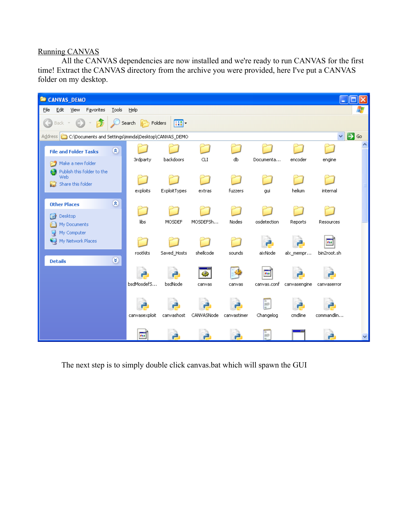#### Running CANVAS

All the CANVAS dependencies are now installed and we're ready to run CANVAS for the first time! Extract the CANVAS directory from the archive you were provided, here I've put a CANVAS folder on my desktop.



The next step is to simply double click canvas.bat which will spawn the GUI